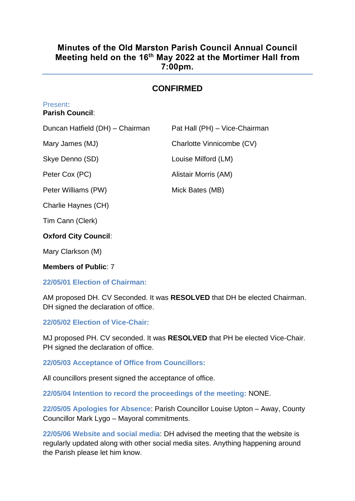# **Minutes of the Old Marston Parish Council Annual Council Meeting held on the 16th May 2022 at the Mortimer Hall from 7:00pm.**

# **CONFIRMED**

## Present**:**

#### **Parish Council**:

| Duncan Hatfield (DH) - Chairman | Pat Hall (PH) - Vice-Chairman |
|---------------------------------|-------------------------------|
| Mary James (MJ)                 | Charlotte Vinnicombe (CV)     |
| Skye Denno (SD)                 | Louise Milford (LM)           |
| Peter Cox (PC)                  | Alistair Morris (AM)          |
| Peter Williams (PW)             | Mick Bates (MB)               |
| Charlie Haynes (CH)             |                               |
| Tim Cann (Clerk)                |                               |
| <b>Oxford City Council:</b>     |                               |

Mary Clarkson (M)

## **Members of Public**: 7

## **22/05/01 Election of Chairman:**

AM proposed DH. CV Seconded. It was **RESOLVED** that DH be elected Chairman. DH signed the declaration of office.

## **22/05/02 Election of Vice-Chair:**

MJ proposed PH. CV seconded. It was **RESOLVED** that PH be elected Vice-Chair. PH signed the declaration of office.

# **22/05/03 Acceptance of Office from Councillors:**

All councillors present signed the acceptance of office.

**22/05/04 Intention to record the proceedings of the meeting:** NONE.

**22/05/05 Apologies for Absence**: Parish Councillor Louise Upton – Away, County Councillor Mark Lygo – Mayoral commitments.

**22/05/06 Website and social media**: DH advised the meeting that the website is regularly updated along with other social media sites. Anything happening around the Parish please let him know.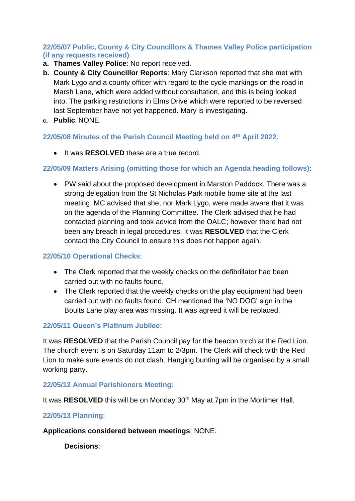# **22/05/07 Public, County & City Councillors & Thames Valley Police participation (if any requests received)**

- **a. Thames Valley Police**: No report received.
- **b. County & City Councillor Reports**: Mary Clarkson reported that she met with Mark Lygo and a county officer with regard to the cycle markings on the road in Marsh Lane, which were added without consultation, and this is being looked into. The parking restrictions in Elms Drive which were reported to be reversed last September have not yet happened. Mary is investigating.
- **c. Public**: NONE.

## **22/05/08 Minutes of the Parish Council Meeting held on 4 th April 2022**.

• It was **RESOLVED** these are a true record.

# **22/05/09 Matters Arising (omitting those for which an Agenda heading follows)**:

• PW said about the proposed development in Marston Paddock. There was a strong delegation from the St Nicholas Park mobile home site at the last meeting. MC advised that she, nor Mark Lygo, were made aware that it was on the agenda of the Planning Committee. The Clerk advised that he had contacted planning and took advice from the OALC; however there had not been any breach in legal procedures. It was **RESOLVED** that the Clerk contact the City Council to ensure this does not happen again.

# **22/05/10 Operational Checks**:

- The Clerk reported that the weekly checks on the defibrillator had been carried out with no faults found.
- The Clerk reported that the weekly checks on the play equipment had been carried out with no faults found. CH mentioned the 'NO DOG' sign in the Boults Lane play area was missing. It was agreed it will be replaced.

# **22/05/11 Queen's Platinum Jubilee:**

It was **RESOLVED** that the Parish Council pay for the beacon torch at the Red Lion. The church event is on Saturday 11am to 2/3pm. The Clerk will check with the Red Lion to make sure events do not clash. Hanging bunting will be organised by a small working party.

# **22/05/12 Annual Parishioners Meeting:**

It was **RESOLVED** this will be on Monday 30<sup>th</sup> May at 7pm in the Mortimer Hall.

# **22/05/13 Planning**:

## **Applications considered between meetings**: NONE.

**Decisions**: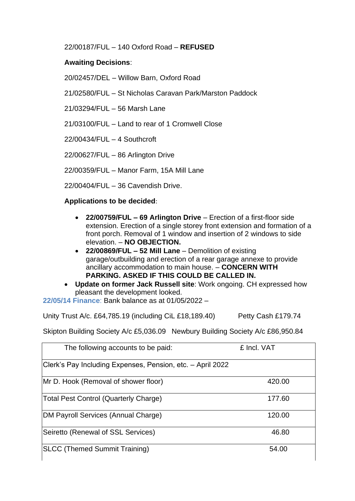22/00187/FUL – 140 Oxford Road – **REFUSED**

# **Awaiting Decisions**:

20/02457/DEL – Willow Barn, Oxford Road

21/02580/FUL – St Nicholas Caravan Park/Marston Paddock

21/03294/FUL – 56 Marsh Lane

21/03100/FUL – Land to rear of 1 Cromwell Close

22/00434/FUL – 4 Southcroft

22/00627/FUL – 86 Arlington Drive

22/00359/FUL – Manor Farm, 15A Mill Lane

22/00404/FUL – 36 Cavendish Drive.

## **Applications to be decided**:

- **22/00759/FUL – 69 Arlington Drive** Erection of a first-floor side extension. Erection of a single storey front extension and formation of a front porch. Removal of 1 window and insertion of 2 windows to side elevation. – **NO OBJECTION.**
- **22/00869/FUL – 52 Mill Lane** Demolition of existing garage/outbuilding and erection of a rear garage annexe to provide ancillary accommodation to main house. – **CONCERN WITH PARKING. ASKED IF THIS COULD BE CALLED IN.**
- **Update on former Jack Russell site**: Work ongoing. CH expressed how pleasant the development looked.

**22/05/14 Finance**: Bank balance as at 01/05/2022 –

Unity Trust A/c. £64,785.19 (including CiL £18,189.40) Petty Cash £179.74

Skipton Building Society A/c £5,036.09 Newbury Building Society A/c £86,950.84

| The following accounts to be paid:                         | £ Incl. VAT |  |
|------------------------------------------------------------|-------------|--|
| Clerk's Pay Including Expenses, Pension, etc. - April 2022 |             |  |
| Mr D. Hook (Removal of shower floor)                       | 420.00      |  |
| <b>Total Pest Control (Quarterly Charge)</b>               | 177.60      |  |
| DM Payroll Services (Annual Charge)                        | 120.00      |  |
| Seiretto (Renewal of SSL Services)                         | 46.80       |  |
| <b>SLCC (Themed Summit Training)</b>                       | 54.00       |  |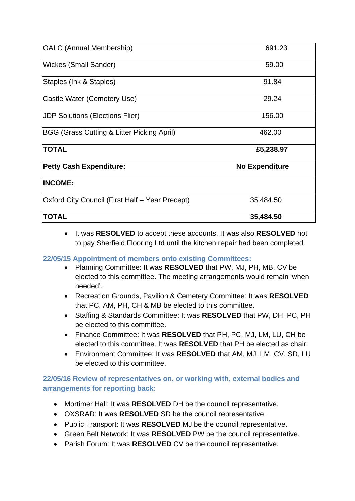| <b>OALC</b> (Annual Membership)                 | 691.23                |
|-------------------------------------------------|-----------------------|
| Wickes (Small Sander)                           | 59.00                 |
| Staples (Ink & Staples)                         | 91.84                 |
| Castle Water (Cemetery Use)                     | 29.24                 |
| <b>JDP Solutions (Elections Flier)</b>          | 156.00                |
| BGG (Grass Cutting & Litter Picking April)      | 462.00                |
| <b>TOTAL</b>                                    | £5,238.97             |
| <b>Petty Cash Expenditure:</b>                  | <b>No Expenditure</b> |
| <b>INCOME:</b>                                  |                       |
| Oxford City Council (First Half - Year Precept) | 35,484.50             |
| <b>TOTAL</b>                                    | 35,484.50             |

• It was **RESOLVED** to accept these accounts. It was also **RESOLVED** not to pay Sherfield Flooring Ltd until the kitchen repair had been completed.

# **22/05/15 Appointment of members onto existing Committees:**

- Planning Committee: It was **RESOLVED** that PW, MJ, PH, MB, CV be elected to this committee. The meeting arrangements would remain 'when needed'.
- Recreation Grounds, Pavilion & Cemetery Committee: It was **RESOLVED** that PC, AM, PH, CH & MB be elected to this committee.
- Staffing & Standards Committee: It was **RESOLVED** that PW, DH, PC, PH be elected to this committee.
- Finance Committee: It was **RESOLVED** that PH, PC, MJ, LM, LU, CH be elected to this committee. It was **RESOLVED** that PH be elected as chair.
- Environment Committee: It was **RESOLVED** that AM, MJ, LM, CV, SD, LU be elected to this committee.

# **22/05/16 Review of representatives on, or working with, external bodies and arrangements for reporting back:**

- Mortimer Hall: It was **RESOLVED** DH be the council representative.
- OXSRAD: It was **RESOLVED** SD be the council representative.
- Public Transport: It was **RESOLVED** MJ be the council representative.
- Green Belt Network: It was **RESOLVED** PW be the council representative.
- Parish Forum: It was **RESOLVED** CV be the council representative.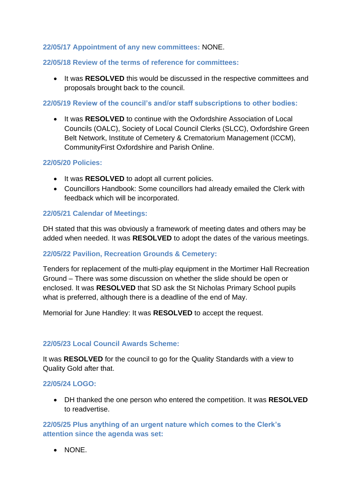## **22/05/17 Appointment of any new committees:** NONE.

## **22/05/18 Review of the terms of reference for committees:**

• It was **RESOLVED** this would be discussed in the respective committees and proposals brought back to the council.

#### **22/05/19 Review of the council's and/or staff subscriptions to other bodies:**

• It was **RESOLVED** to continue with the Oxfordshire Association of Local Councils (OALC), Society of Local Council Clerks (SLCC), Oxfordshire Green Belt Network, Institute of Cemetery & Crematorium Management (ICCM), CommunityFirst Oxfordshire and Parish Online.

#### **22/05/20 Policies:**

- It was **RESOLVED** to adopt all current policies.
- Councillors Handbook: Some councillors had already emailed the Clerk with feedback which will be incorporated.

#### **22/05/21 Calendar of Meetings:**

DH stated that this was obviously a framework of meeting dates and others may be added when needed. It was **RESOLVED** to adopt the dates of the various meetings.

## **22/05/22 Pavilion, Recreation Grounds & Cemetery:**

Tenders for replacement of the multi-play equipment in the Mortimer Hall Recreation Ground – There was some discussion on whether the slide should be open or enclosed. It was **RESOLVED** that SD ask the St Nicholas Primary School pupils what is preferred, although there is a deadline of the end of May.

Memorial for June Handley: It was **RESOLVED** to accept the request.

## **22/05/23 Local Council Awards Scheme:**

It was **RESOLVED** for the council to go for the Quality Standards with a view to Quality Gold after that.

#### **22/05/24 LOGO:**

• DH thanked the one person who entered the competition. It was **RESOLVED** to readvertise.

**22/05/25 Plus anything of an urgent nature which comes to the Clerk's attention since the agenda was set:**

• NONE.